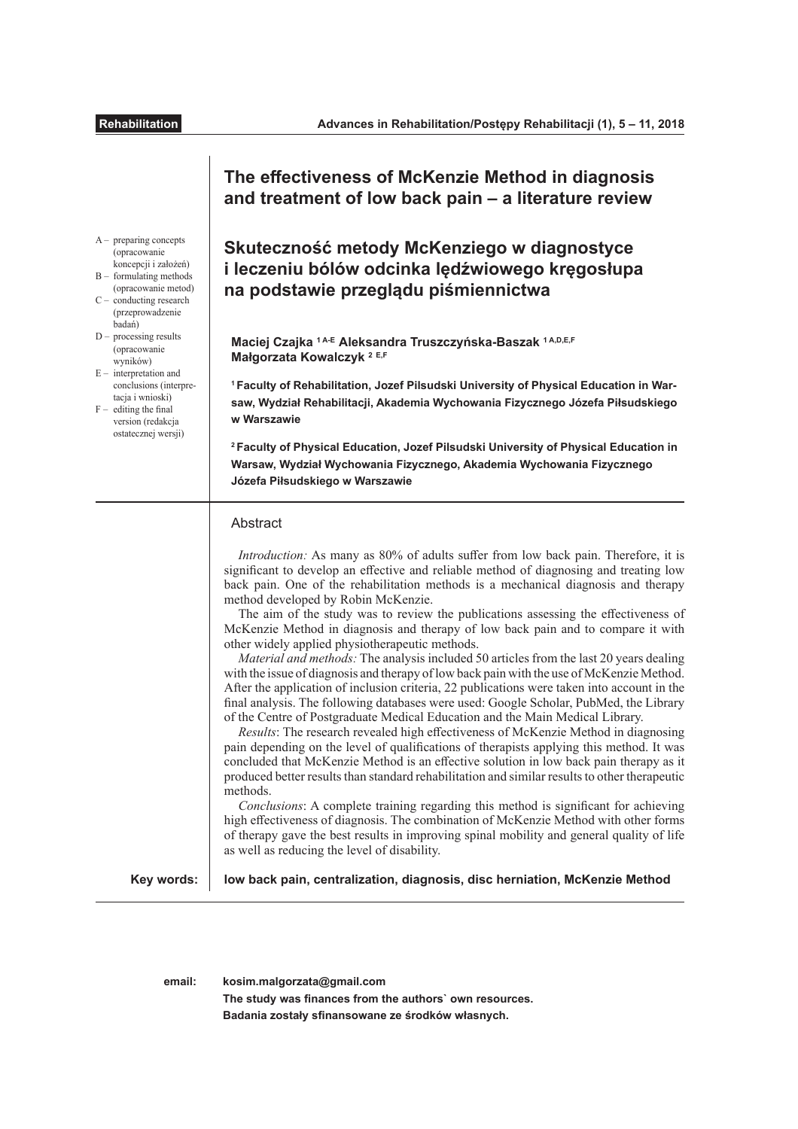# **The efectiveness of McKenzie Method in diagnosis and treatment of low back pain – a literature review**

**Skuteczność metody McKenziego w diagnostyce i leczeniu bólów odcinka lędźwiowego kręgosłupa na podstawie przeglądu piśmiennictwa**

**Maciej Czajka 1 A-E Aleksandra Truszczyńska-Baszak 1 A,D,E,F Małgorzata Kowalczyk <sup>2</sup> E,F** 

**1 Faculty of Rehabilitation, Jozef Pilsudski University of Physical Education in Warsaw, Wydział Rehabilitacji, Akademia Wychowania Fizycznego Józefa Piłsudskiego w Warszawie**

**<sup>2</sup>Faculty of Physical Education, Jozef Pilsudski University of Physical Education in Warsaw, Wydział Wychowania Fizycznego, Akademia Wychowania Fizycznego Józefa Piłsudskiego w Warszawie**

## Abstract

**Key words:**

**low back pain, centralization, diagnosis, disc herniation, McKenzie Method**

**email: kosim.malgorzata@gmail.com**

The study was finances from the authors` own resources. **Badania zostały sfnansowane ze środków własnych.**

A – preparing concepts (opracowanie koncepcji i założeń) B – formulating methods

- (opracowanie metod)  $C -$  conducting research (przeprowadzenie
- badań) D – processing results (opracowanie

wyników)  $E -$  interpretation and conclusions (interpretacja i wnioski)

 $F -$  editing the final version (redakcja ostatecznej wersji)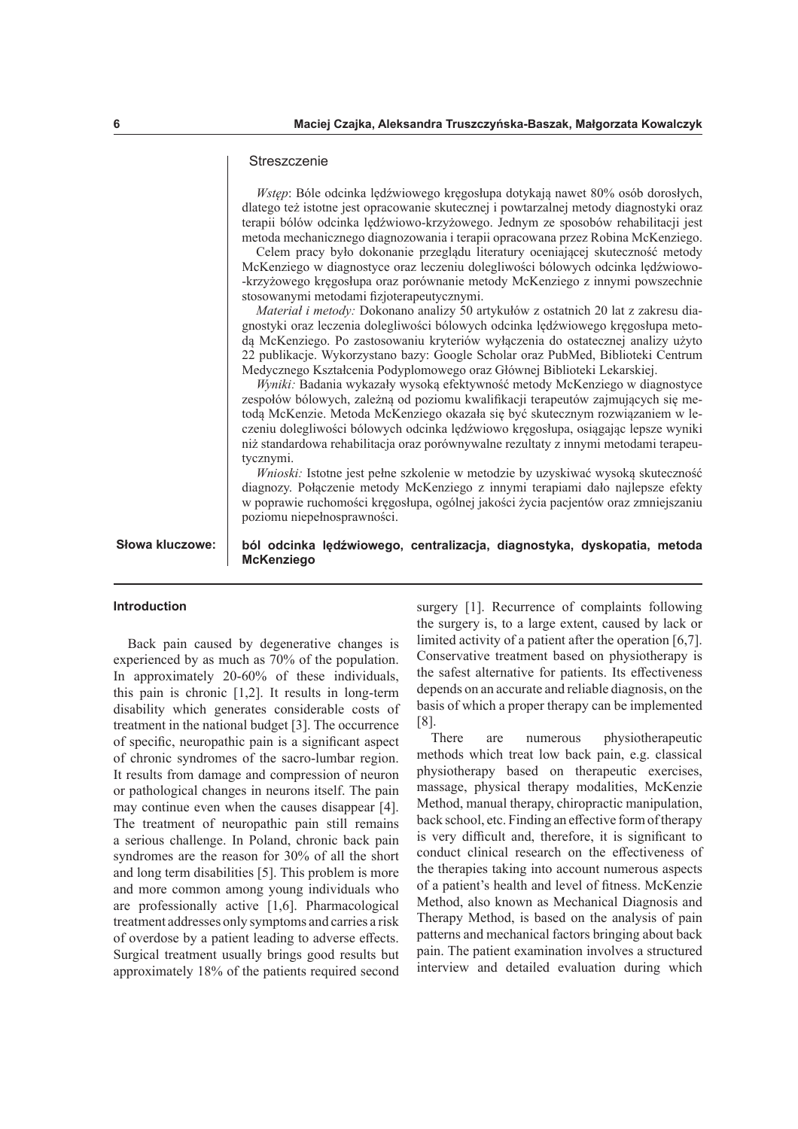#### **Streszczenie**

*Wstęp*: Bóle odcinka lędźwiowego kręgosłupa dotykają nawet 80% osób dorosłych, dlatego też istotne jest opracowanie skutecznej i powtarzalnej metody diagnostyki oraz terapii bólów odcinka lędźwiowo-krzyżowego. Jednym ze sposobów rehabilitacji jest metoda mechanicznego diagnozowania i terapii opracowana przez Robina McKenziego.

Celem pracy było dokonanie przeglądu literatury oceniającej skuteczność metody McKenziego w diagnostyce oraz leczeniu dolegliwości bólowych odcinka lędźwiowo- -krzyżowego kręgosłupa oraz porównanie metody McKenziego z innymi powszechnie stosowanymi metodami fizjoterapeutycznymi.

*Materiał i metody:* Dokonano analizy 50 artykułów z ostatnich 20 lat z zakresu diagnostyki oraz leczenia dolegliwości bólowych odcinka lędźwiowego kręgosłupa metodą McKenziego. Po zastosowaniu kryteriów wyłączenia do ostatecznej analizy użyto 22 publikacje. Wykorzystano bazy: Google Scholar oraz PubMed, Biblioteki Centrum Medycznego Kształcenia Podyplomowego oraz Głównej Biblioteki Lekarskiej.

*Wyniki:* Badania wykazały wysoką efektywność metody McKenziego w diagnostyce zespołów bólowych, zależną od poziomu kwalifkacji terapeutów zajmujących się metodą McKenzie. Metoda McKenziego okazała się być skutecznym rozwiązaniem w leczeniu dolegliwości bólowych odcinka lędźwiowo kręgosłupa, osiągając lepsze wyniki niż standardowa rehabilitacja oraz porównywalne rezultaty z innymi metodami terapeutycznymi.

*Wnioski:* Istotne jest pełne szkolenie w metodzie by uzyskiwać wysoką skuteczność diagnozy. Połączenie metody McKenziego z innymi terapiami dało najlepsze efekty w poprawie ruchomości kręgosłupa, ogólnej jakości życia pacjentów oraz zmniejszaniu poziomu niepełnosprawności.

**Słowa kluczowe:**

**ból odcinka lędźwiowego, centralizacja, diagnostyka, dyskopatia, metoda McKenziego**

## **Introduction**

Back pain caused by degenerative changes is experienced by as much as 70% of the population. In approximately 20-60% of these individuals, this pain is chronic [1,2]. It results in long-term disability which generates considerable costs of treatment in the national budget [3]. The occurrence of specifc, neuropathic pain is a signifcant aspect of chronic syndromes of the sacro-lumbar region. It results from damage and compression of neuron or pathological changes in neurons itself. The pain may continue even when the causes disappear [4]. The treatment of neuropathic pain still remains a serious challenge. In Poland, chronic back pain syndromes are the reason for 30% of all the short and long term disabilities [5]. This problem is more and more common among young individuals who are professionally active [1,6]. Pharmacological treatment addresses only symptoms and carries a risk of overdose by a patient leading to adverse efects. Surgical treatment usually brings good results but approximately 18% of the patients required second

surgery [1]. Recurrence of complaints following the surgery is, to a large extent, caused by lack or limited activity of a patient after the operation [6,7]. Conservative treatment based on physiotherapy is the safest alternative for patients. Its efectiveness depends on an accurate and reliable diagnosis, on the basis of which a proper therapy can be implemented [8].

There are numerous physiotherapeutic methods which treat low back pain, e.g. classical physiotherapy based on therapeutic exercises, massage, physical therapy modalities, McKenzie Method, manual therapy, chiropractic manipulation, back school, etc. Finding an efective form of therapy is very difficult and, therefore, it is significant to conduct clinical research on the efectiveness of the therapies taking into account numerous aspects of a patient's health and level of ftness. McKenzie Method, also known as Mechanical Diagnosis and Therapy Method, is based on the analysis of pain patterns and mechanical factors bringing about back pain. The patient examination involves a structured interview and detailed evaluation during which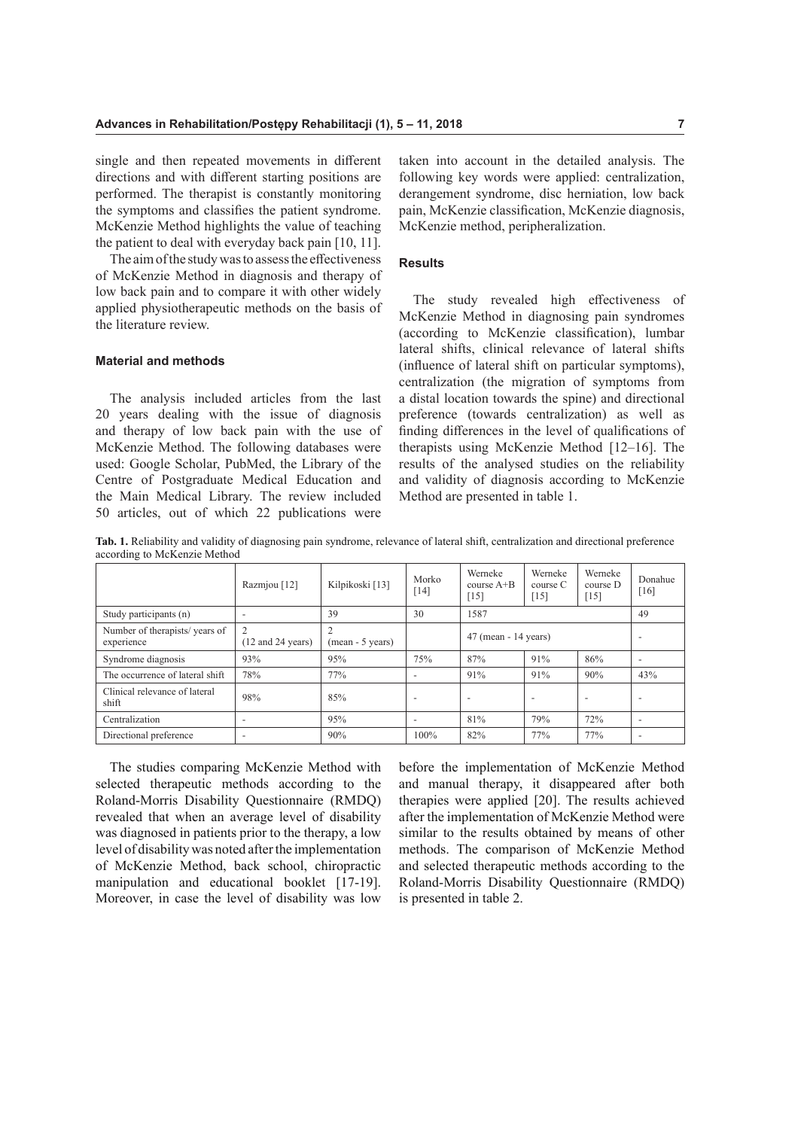single and then repeated movements in diferent directions and with diferent starting positions are performed. The therapist is constantly monitoring the symptoms and classifes the patient syndrome. McKenzie Method highlights the value of teaching the patient to deal with everyday back pain [10, 11].

The aim of the study was to assess the effectiveness of McKenzie Method in diagnosis and therapy of low back pain and to compare it with other widely applied physiotherapeutic methods on the basis of the literature review.

## **Material and methods**

The analysis included articles from the last 20 years dealing with the issue of diagnosis and therapy of low back pain with the use of McKenzie Method. The following databases were used: Google Scholar, PubMed, the Library of the Centre of Postgraduate Medical Education and the Main Medical Library. The review included 50 articles, out of which 22 publications were

taken into account in the detailed analysis. The following key words were applied: centralization, derangement syndrome, disc herniation, low back pain, McKenzie classifcation, McKenzie diagnosis, McKenzie method, peripheralization.

### **Results**

The study revealed high effectiveness of McKenzie Method in diagnosing pain syndromes (according to McKenzie classifcation), lumbar lateral shifts, clinical relevance of lateral shifts (infuence of lateral shift on particular symptoms), centralization (the migration of symptoms from a distal location towards the spine) and directional preference (towards centralization) as well as fnding diferences in the level of qualifcations of therapists using McKenzie Method [12–16]. The results of the analysed studies on the reliability and validity of diagnosis according to McKenzie Method are presented in table 1.

**Tab. 1.** Reliability and validity of diagnosing pain syndrome, relevance of lateral shift, centralization and directional preference according to McKenzie Method

|                                             | Razmjou [12]                                           | Kilpikoski [13]  | Morko<br>$[14]$          | Werneke<br>course $A+B$<br>$[15]$ | Werneke<br>course C<br>$[15]$ | Werneke<br>course D<br>$[15]$ | Donahue<br>[16]          |
|---------------------------------------------|--------------------------------------------------------|------------------|--------------------------|-----------------------------------|-------------------------------|-------------------------------|--------------------------|
| Study participants (n)                      |                                                        | 39               | 30                       | 1587                              |                               |                               | 49                       |
| Number of therapists/years of<br>experience | $\overline{c}$<br>$(12 \text{ and } 24 \text{ years})$ | (mean - 5 years) |                          | $47$ (mean - 14 years)            |                               |                               | $\overline{\phantom{a}}$ |
| Syndrome diagnosis                          | 93%                                                    | 95%              | 75%                      | 87%                               | 91%                           | 86%                           | $\overline{\phantom{a}}$ |
| The occurrence of lateral shift             | 78%                                                    | 77%              | $\overline{\phantom{a}}$ | 91%                               | 91%                           | 90%                           | 43%                      |
| Clinical relevance of lateral<br>shift      | 98%                                                    | 85%              | $\overline{\phantom{a}}$ | $\overline{\phantom{0}}$          | $\overline{\phantom{a}}$      | $\overline{\phantom{a}}$      | $\overline{\phantom{a}}$ |
| Centralization                              | $\overline{\phantom{a}}$                               | 95%              | $\overline{\phantom{a}}$ | 81%                               | 79%                           | 72%                           | $\overline{\phantom{a}}$ |
| Directional preference                      |                                                        | 90%              | 100%                     | 82%                               | 77%                           | 77%                           | $\overline{\phantom{a}}$ |

The studies comparing McKenzie Method with selected therapeutic methods according to the Roland-Morris Disability Questionnaire (RMDQ) revealed that when an average level of disability was diagnosed in patients prior to the therapy, a low level of disability was noted after the implementation of McKenzie Method, back school, chiropractic manipulation and educational booklet [17-19]. Moreover, in case the level of disability was low

before the implementation of McKenzie Method and manual therapy, it disappeared after both therapies were applied [20]. The results achieved after the implementation of McKenzie Method were similar to the results obtained by means of other methods. The comparison of McKenzie Method and selected therapeutic methods according to the Roland-Morris Disability Questionnaire (RMDQ) is presented in table 2.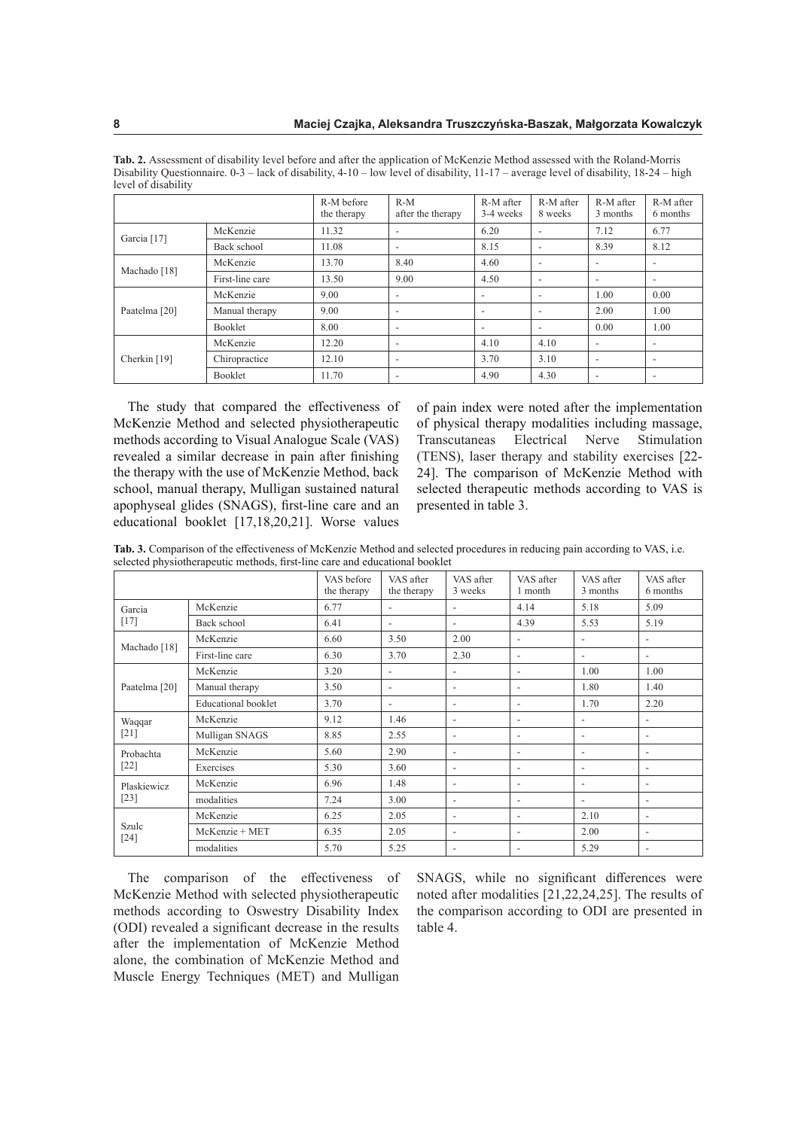|                         |                 | R-M before<br>the therapy | $R-M$<br>after the therapy | R-M after<br>3-4 weeks   | R-M after<br>8 weeks     | R-M after<br>3 months    | R-M after<br>6 months    |
|-------------------------|-----------------|---------------------------|----------------------------|--------------------------|--------------------------|--------------------------|--------------------------|
|                         | McKenzie        | 11.32                     | $\overline{\phantom{a}}$   | 6.20                     | $\overline{\phantom{a}}$ | 7.12                     | 6.77                     |
| Garcia <sup>[17]</sup>  | Back school     | 11.08                     | $\overline{\phantom{a}}$   | 8.15                     | $\overline{\phantom{a}}$ | 8.39                     | 8.12                     |
| Machado <sup>[18]</sup> | McKenzie        | 13.70                     | 8.40                       | 4.60                     | $\overline{\phantom{a}}$ |                          | $\overline{\phantom{a}}$ |
|                         | First-line care | 13.50                     | 9.00                       | 4.50                     | $\overline{\phantom{a}}$ |                          | $\overline{\phantom{a}}$ |
| Paatelma [20]           | McKenzie        | 9.00                      | $\overline{\phantom{a}}$   | $\overline{\phantom{a}}$ | $\overline{\phantom{a}}$ | 1.00                     | 0.00                     |
|                         | Manual therapy  | 9.00                      | $\overline{\phantom{a}}$   | $\overline{\phantom{0}}$ | $\overline{\phantom{a}}$ | 2.00                     | 1.00                     |
|                         | Booklet         | 8.00                      | $\overline{\phantom{a}}$   | $\overline{\phantom{a}}$ | $\overline{\phantom{a}}$ | 0.00                     | 1.00                     |
| Cherkin [19]            | McKenzie        | 12.20                     | $\overline{\phantom{a}}$   | 4.10                     | 4.10                     | $\overline{\phantom{a}}$ | $\overline{\phantom{a}}$ |
|                         | Chiropractice   | 12.10                     | $\overline{\phantom{a}}$   | 3.70                     | 3.10                     |                          | $\overline{\phantom{a}}$ |
|                         | Booklet         | 11.70                     | $\overline{\phantom{a}}$   | 4.90                     | 4.30                     |                          | $\overline{\phantom{a}}$ |

**Tab. 2.** Assessment of disability level before and after the application of McKenzie Method assessed with the Roland-Morris Disability Questionnaire. 0-3 – lack of disability, 4-10 – low level of disability, 11-17 – average level of disability, 18-24 – high level of disability

The study that compared the effectiveness of McKenzie Method and selected physiotherapeutic methods according to Visual Analogue Scale (VAS) revealed a similar decrease in pain after fnishing the therapy with the use of McKenzie Method, back school, manual therapy, Mulligan sustained natural apophyseal glides (SNAGS), frst-line care and an educational booklet [17,18,20,21]. Worse values

of pain index were noted after the implementation of physical therapy modalities including massage, Transcutaneas Electrical Nerve Stimulation (TENS), laser therapy and stability exercises [22- 24]. The comparison of McKenzie Method with selected therapeutic methods according to VAS is presented in table 3.

**Tab. 3.** Comparison of the efectiveness of McKenzie Method and selected procedures in reducing pain according to VAS, i.e. selected physiotherapeutic methods, frst-line care and educational booklet

|                          |                            | VAS before<br>the therapy | VAS after<br>the therapy | VAS after<br>3 weeks     | VAS after<br>1 month     | VAS after<br>3 months    | VAS after<br>6 months    |
|--------------------------|----------------------------|---------------------------|--------------------------|--------------------------|--------------------------|--------------------------|--------------------------|
| Garcia<br>$[17]$         | McKenzie                   | 6.77                      | $\overline{\phantom{a}}$ | $\overline{\phantom{a}}$ | 4.14                     | 5.18                     | 5.09                     |
|                          | Back school                | 6.41                      | $\overline{\phantom{a}}$ | $\overline{\phantom{a}}$ | 4.39                     | 5.53                     | 5.19                     |
| Machado <sup>[18]</sup>  | McKenzie                   | 6.60                      | 3.50                     | 2.00                     | $\overline{\phantom{a}}$ | $\overline{\phantom{a}}$ | $\overline{\phantom{0}}$ |
|                          | First-line care            | 6.30                      | 3.70                     | 2.30                     | $\overline{\phantom{a}}$ | $\overline{\phantom{a}}$ | $\overline{\phantom{a}}$ |
|                          | McKenzie                   | 3.20                      | $\overline{a}$           | $\overline{a}$           | $\overline{\phantom{a}}$ | 1.00                     | 1.00                     |
| Paatelma <sup>[20]</sup> | Manual therapy             | 3.50                      | $\overline{\phantom{a}}$ | $\overline{\phantom{a}}$ | $\overline{\phantom{a}}$ | 1.80                     | 1.40                     |
|                          | <b>Educational</b> booklet | 3.70                      | $\overline{\phantom{a}}$ | $\overline{\phantom{a}}$ | $\overline{\phantom{a}}$ | 1.70                     | 2.20                     |
| Waqqar                   | McKenzie                   | 9.12                      | 1.46                     | $\overline{\phantom{a}}$ | $\overline{\phantom{a}}$ |                          | $\overline{\phantom{a}}$ |
| $[21]$                   | Mulligan SNAGS             | 8.85                      | 2.55                     | $\overline{\phantom{a}}$ | $\overline{\phantom{a}}$ | $\overline{\phantom{a}}$ | $\overline{\phantom{a}}$ |
| Probachta<br>$[22]$      | McKenzie                   | 5.60                      | 2.90                     | $\overline{\phantom{a}}$ | $\overline{\phantom{a}}$ | $\overline{\phantom{a}}$ | $\overline{\phantom{a}}$ |
|                          | Exercises                  | 5.30                      | 3.60                     | $\overline{\phantom{a}}$ | $\overline{\phantom{a}}$ | $\overline{\phantom{a}}$ | $\overline{\phantom{a}}$ |
| Plaskiewicz<br>$[23]$    | McKenzie                   | 6.96                      | 1.48                     | $\overline{\phantom{a}}$ | $\overline{\phantom{a}}$ | $\overline{\phantom{a}}$ | $\overline{\phantom{a}}$ |
|                          | modalities                 | 7.24                      | 3.00                     | $\overline{\phantom{a}}$ | $\overline{\phantom{a}}$ | $\overline{\phantom{a}}$ | $\overline{\phantom{a}}$ |
| Szulc<br>$[24]$          | McKenzie                   | 6.25                      | 2.05                     | $\overline{\phantom{a}}$ | $\overline{\phantom{a}}$ | 2.10                     | $\overline{\phantom{a}}$ |
|                          | McKenzie + MET             | 6.35                      | 2.05                     | $\overline{\phantom{a}}$ | $\overline{\phantom{a}}$ | 2.00                     | $\overline{\phantom{a}}$ |
|                          | modalities                 | 5.70                      | 5.25                     | $\overline{\phantom{a}}$ | $\overline{\phantom{a}}$ | 5.29                     | $\overline{\phantom{a}}$ |

The comparison of the effectiveness of McKenzie Method with selected physiotherapeutic methods according to Oswestry Disability Index (ODI) revealed a signifcant decrease in the results after the implementation of McKenzie Method alone, the combination of McKenzie Method and Muscle Energy Techniques (MET) and Mulligan

SNAGS, while no significant differences were noted after modalities [21,22,24,25]. The results of the comparison according to ODI are presented in table 4.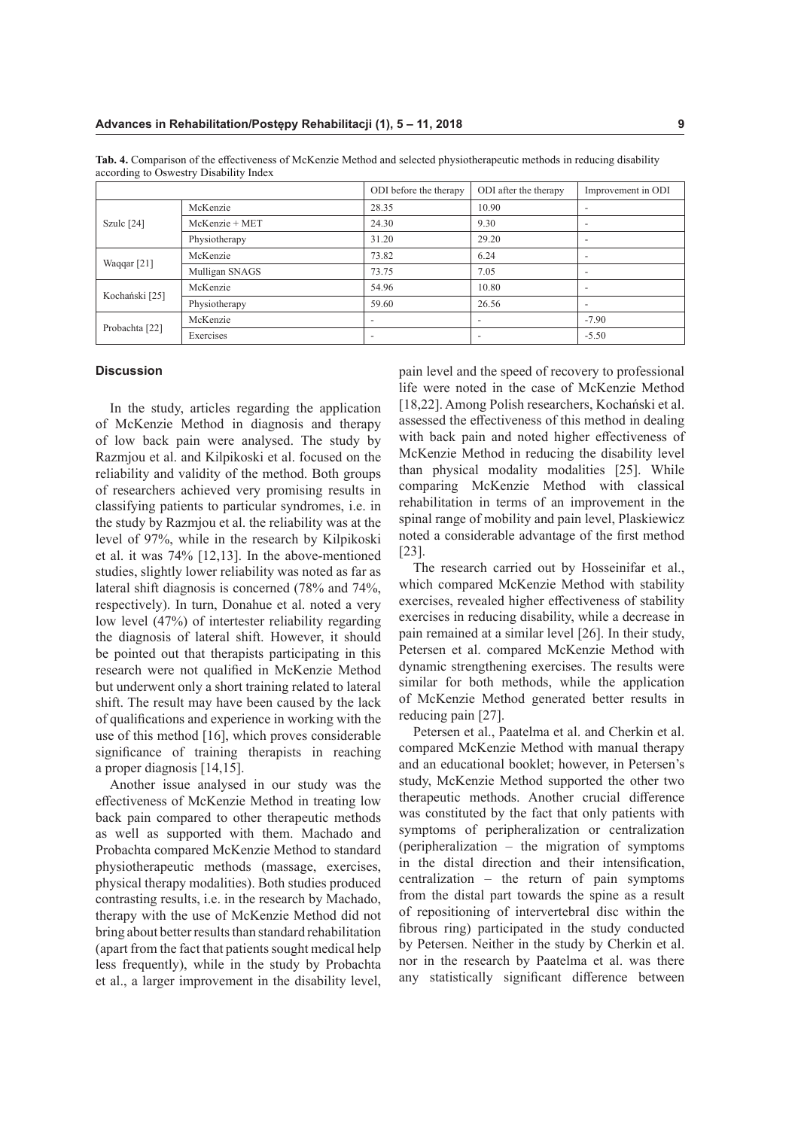|                           |                  | ODI before the therapy   | ODI after the therapy    | Improvement in ODI       |
|---------------------------|------------------|--------------------------|--------------------------|--------------------------|
| Szulc $[24]$              | McKenzie         | 28.35                    | 10.90                    | $\overline{\phantom{a}}$ |
|                           | $McKenzie + MET$ | 24.30                    | 9.30                     | $\overline{\phantom{a}}$ |
|                           | Physiotherapy    | 31.20                    | 29.20                    | $\overline{\phantom{a}}$ |
| Waqqar $[21]$             | McKenzie         | 73.82                    | 6.24                     | $\overline{\phantom{a}}$ |
|                           | Mulligan SNAGS   | 73.75                    | 7.05                     | $\overline{\phantom{a}}$ |
| Kochański [25]            | McKenzie         | 54.96                    | 10.80                    | $\overline{\phantom{a}}$ |
|                           | Physiotherapy    | 59.60                    | 26.56                    | $\overline{\phantom{a}}$ |
| Probachta <sup>[22]</sup> | McKenzie         |                          | $\overline{\phantom{a}}$ | $-7.90$                  |
|                           | Exercises        | $\overline{\phantom{0}}$ | $\overline{\phantom{0}}$ | $-5.50$                  |

**Tab. 4.** Comparison of the efectiveness of McKenzie Method and selected physiotherapeutic methods in reducing disability according to Oswestry Disability Index

#### **Discussion**

In the study, articles regarding the application of McKenzie Method in diagnosis and therapy of low back pain were analysed. The study by Razmjou et al. and Kilpikoski et al. focused on the reliability and validity of the method. Both groups of researchers achieved very promising results in classifying patients to particular syndromes, i.e. in the study by Razmjou et al. the reliability was at the level of 97%, while in the research by Kilpikoski et al. it was 74% [12,13]. In the above-mentioned studies, slightly lower reliability was noted as far as lateral shift diagnosis is concerned (78% and 74%, respectively). In turn, Donahue et al. noted a very low level (47%) of intertester reliability regarding the diagnosis of lateral shift. However, it should be pointed out that therapists participating in this research were not qualifed in McKenzie Method but underwent only a short training related to lateral shift. The result may have been caused by the lack of qualifcations and experience in working with the use of this method [16], which proves considerable signifcance of training therapists in reaching a proper diagnosis [14,15].

Another issue analysed in our study was the efectiveness of McKenzie Method in treating low back pain compared to other therapeutic methods as well as supported with them. Machado and Probachta compared McKenzie Method to standard physiotherapeutic methods (massage, exercises, physical therapy modalities). Both studies produced contrasting results, i.e. in the research by Machado, therapy with the use of McKenzie Method did not bring about better results than standard rehabilitation (apart from the fact that patients sought medical help less frequently), while in the study by Probachta et al., a larger improvement in the disability level, pain level and the speed of recovery to professional life were noted in the case of McKenzie Method [18,22]. Among Polish researchers, Kochański et al. assessed the efectiveness of this method in dealing with back pain and noted higher effectiveness of McKenzie Method in reducing the disability level than physical modality modalities [25]. While comparing McKenzie Method with classical rehabilitation in terms of an improvement in the spinal range of mobility and pain level, Plaskiewicz noted a considerable advantage of the frst method [23].

The research carried out by Hosseinifar et al., which compared McKenzie Method with stability exercises, revealed higher effectiveness of stability exercises in reducing disability, while a decrease in pain remained at a similar level [26]. In their study, Petersen et al. compared McKenzie Method with dynamic strengthening exercises. The results were similar for both methods, while the application of McKenzie Method generated better results in reducing pain [27].

Petersen et al., Paatelma et al. and Cherkin et al. compared McKenzie Method with manual therapy and an educational booklet; however, in Petersen's study, McKenzie Method supported the other two therapeutic methods. Another crucial diference was constituted by the fact that only patients with symptoms of peripheralization or centralization (peripheralization – the migration of symptoms in the distal direction and their intensifcation, centralization – the return of pain symptoms from the distal part towards the spine as a result of repositioning of intervertebral disc within the fbrous ring) participated in the study conducted by Petersen. Neither in the study by Cherkin et al. nor in the research by Paatelma et al. was there any statistically signifcant diference between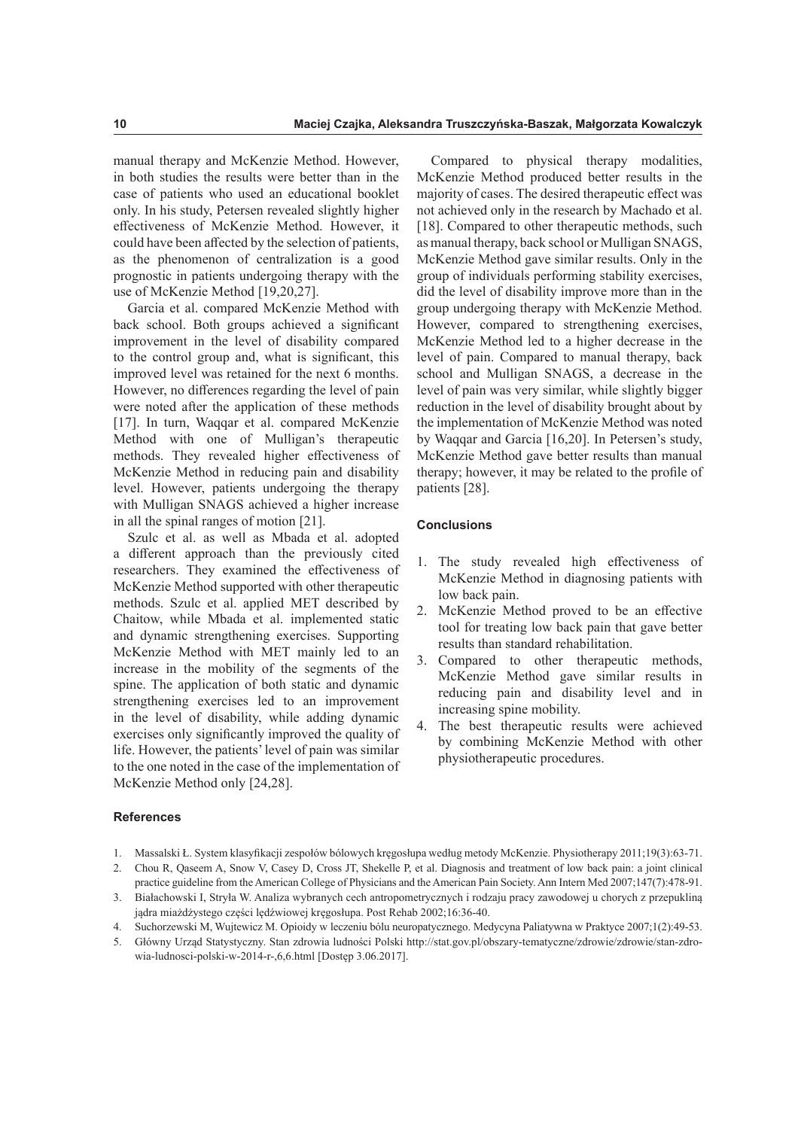manual therapy and McKenzie Method. However, in both studies the results were better than in the case of patients who used an educational booklet only. In his study, Petersen revealed slightly higher efectiveness of McKenzie Method. However, it could have been afected by the selection of patients, as the phenomenon of centralization is a good prognostic in patients undergoing therapy with the use of McKenzie Method [19,20,27].

Garcia et al. compared McKenzie Method with back school. Both groups achieved a signifcant improvement in the level of disability compared to the control group and, what is signifcant, this improved level was retained for the next 6 months. However, no diferences regarding the level of pain were noted after the application of these methods [17]. In turn, Waqqar et al. compared McKenzie Method with one of Mulligan's therapeutic methods. They revealed higher efectiveness of McKenzie Method in reducing pain and disability level. However, patients undergoing the therapy with Mulligan SNAGS achieved a higher increase in all the spinal ranges of motion [21].

Szulc et al. as well as Mbada et al. adopted a diferent approach than the previously cited researchers. They examined the efectiveness of McKenzie Method supported with other therapeutic methods. Szulc et al. applied MET described by Chaitow, while Mbada et al. implemented static and dynamic strengthening exercises. Supporting McKenzie Method with MET mainly led to an increase in the mobility of the segments of the spine. The application of both static and dynamic strengthening exercises led to an improvement in the level of disability, while adding dynamic exercises only signifcantly improved the quality of life. However, the patients' level of pain was similar to the one noted in the case of the implementation of McKenzie Method only [24,28].

Compared to physical therapy modalities, McKenzie Method produced better results in the majority of cases. The desired therapeutic efect was not achieved only in the research by Machado et al. [18]. Compared to other therapeutic methods, such as manual therapy, back school or Mulligan SNAGS, McKenzie Method gave similar results. Only in the group of individuals performing stability exercises, did the level of disability improve more than in the group undergoing therapy with McKenzie Method. However, compared to strengthening exercises, McKenzie Method led to a higher decrease in the level of pain. Compared to manual therapy, back school and Mulligan SNAGS, a decrease in the level of pain was very similar, while slightly bigger reduction in the level of disability brought about by the implementation of McKenzie Method was noted by Waqqar and Garcia [16,20]. In Petersen's study, McKenzie Method gave better results than manual therapy; however, it may be related to the profle of patients [28].

## **Conclusions**

- 1. The study revealed high efectiveness of McKenzie Method in diagnosing patients with low back pain.
- 2. McKenzie Method proved to be an efective tool for treating low back pain that gave better results than standard rehabilitation.
- 3. Compared to other therapeutic methods, McKenzie Method gave similar results in reducing pain and disability level and in increasing spine mobility.
- 4. The best therapeutic results were achieved by combining McKenzie Method with other physiotherapeutic procedures.

## **References**

- 1. Massalski Ł. System klasyfkacji zespołów bólowych kręgosłupa według metody McKenzie. Physiotherapy 2011;19(3):63-71.
- 2. Chou R, Qaseem A, Snow V, Casey D, Cross JT, Shekelle P, et al. Diagnosis and treatment of low back pain: a joint clinical
- practice guideline from the American College of Physicians and the American Pain Society. Ann Intern Med 2007;147(7):478-91. 3. Białachowski I, Stryła W. Analiza wybranych cech antropometrycznych i rodzaju pracy zawodowej u chorych z przepukliną jądra miażdżystego części lędźwiowej kręgosłupa. Post Rehab 2002;16:36-40.
- 4. Suchorzewski M, Wujtewicz M. Opioidy w leczeniu bólu neuropatycznego. Medycyna Paliatywna w Praktyce 2007;1(2):49-53.
- 5. Główny Urząd Statystyczny. Stan zdrowia ludności Polski http://stat.gov.pl/obszary-tematyczne/zdrowie/zdrowie/stan-zdrowia-ludnosci-polski-w-2014-r-,6,6.html [Dostęp 3.06.2017].